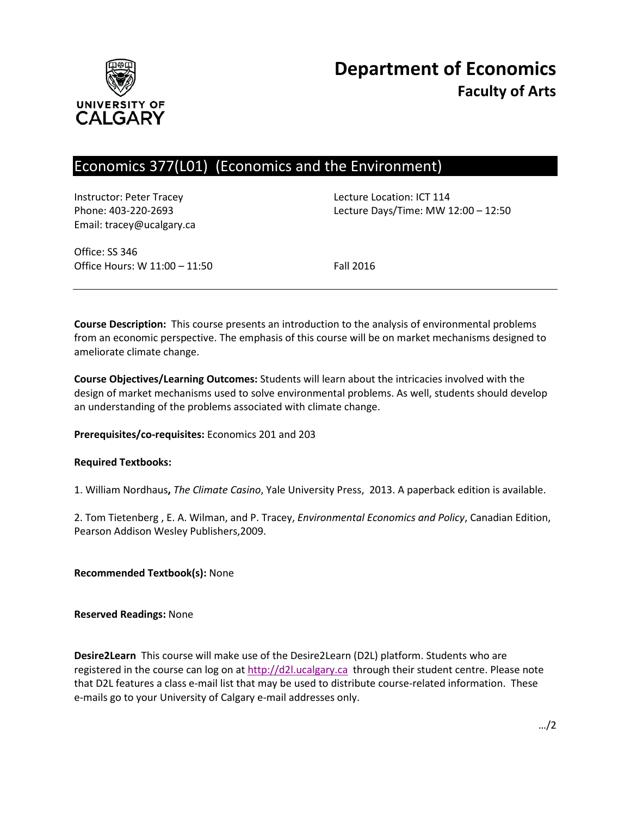

# Economics 377(L01) (Economics and the Environment)

Instructor: Peter Tracey Lecture Location: ICT 114 Email: tracey@ucalgary.ca

Phone: 403-220-2693 Lecture Days/Time: MW 12:00 – 12:50

Office: SS 346 Office Hours: W 11:00 - 11:50 Fall 2016

**Course Description:** This course presents an introduction to the analysis of environmental problems from an economic perspective. The emphasis of this course will be on market mechanisms designed to ameliorate climate change.

**Course Objectives/Learning Outcomes:** Students will learn about the intricacies involved with the design of market mechanisms used to solve environmental problems. As well, students should develop an understanding of the problems associated with climate change.

### **Prerequisites/co-requisites:** Economics 201 and 203

#### **Required Textbooks:**

1. William Nordhaus**,** *The Climate Casino*, Yale University Press, 2013. A paperback edition is available.

2. Tom Tietenberg , E. A. Wilman, and P. Tracey, *Environmental Economics and Policy*, Canadian Edition, Pearson Addison Wesley Publishers,2009.

**Recommended Textbook(s):** None

**Reserved Readings:** None

**Desire2Learn** This course will make use of the Desire2Learn (D2L) platform. Students who are registered in the course can log on at [http://d2l.ucalgary.ca](http://d2l.ucalgary.ca/) through their student centre. Please note that D2L features a class e-mail list that may be used to distribute course-related information. These e-mails go to your University of Calgary e-mail addresses only.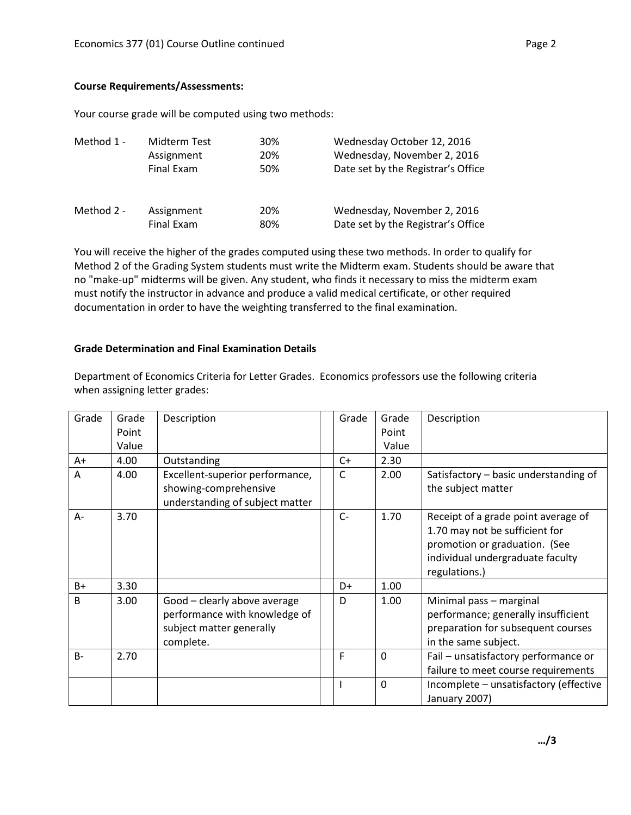Your course grade will be computed using two methods:

| Method 1 - | Midterm Test | 30% | Wednesday October 12, 2016         |
|------------|--------------|-----|------------------------------------|
|            | Assignment   | 20% | Wednesday, November 2, 2016        |
|            | Final Exam   | 50% | Date set by the Registrar's Office |
| Method 2 - | Assignment   | 20% | Wednesday, November 2, 2016        |
|            | Final Exam   | 80% | Date set by the Registrar's Office |

You will receive the higher of the grades computed using these two methods. In order to qualify for Method 2 of the Grading System students must write the Midterm exam. Students should be aware that no "make-up" midterms will be given. Any student, who finds it necessary to miss the midterm exam must notify the instructor in advance and produce a valid medical certificate, or other required documentation in order to have the weighting transferred to the final examination.

### **Grade Determination and Final Examination Details**

Department of Economics Criteria for Letter Grades. Economics professors use the following criteria when assigning letter grades:

| Grade | Grade<br>Point<br>Value | Description                                                                                            | Grade | Grade<br>Point<br>Value | Description                                                                                                                                                 |
|-------|-------------------------|--------------------------------------------------------------------------------------------------------|-------|-------------------------|-------------------------------------------------------------------------------------------------------------------------------------------------------------|
| $A+$  | 4.00                    | Outstanding                                                                                            | C+    | 2.30                    |                                                                                                                                                             |
| A     | 4.00                    | Excellent-superior performance,<br>showing-comprehensive<br>understanding of subject matter            | C     | 2.00                    | Satisfactory - basic understanding of<br>the subject matter                                                                                                 |
| A-    | 3.70                    |                                                                                                        | $C -$ | 1.70                    | Receipt of a grade point average of<br>1.70 may not be sufficient for<br>promotion or graduation. (See<br>individual undergraduate faculty<br>regulations.) |
| $B+$  | 3.30                    |                                                                                                        | D+    | 1.00                    |                                                                                                                                                             |
| B.    | 3.00                    | Good - clearly above average<br>performance with knowledge of<br>subject matter generally<br>complete. | D     | 1.00                    | Minimal pass - marginal<br>performance; generally insufficient<br>preparation for subsequent courses<br>in the same subject.                                |
| $B -$ | 2.70                    |                                                                                                        | F     | $\mathbf 0$             | Fail - unsatisfactory performance or<br>failure to meet course requirements                                                                                 |
|       |                         |                                                                                                        |       | $\mathbf{0}$            | Incomplete - unsatisfactory (effective<br>January 2007)                                                                                                     |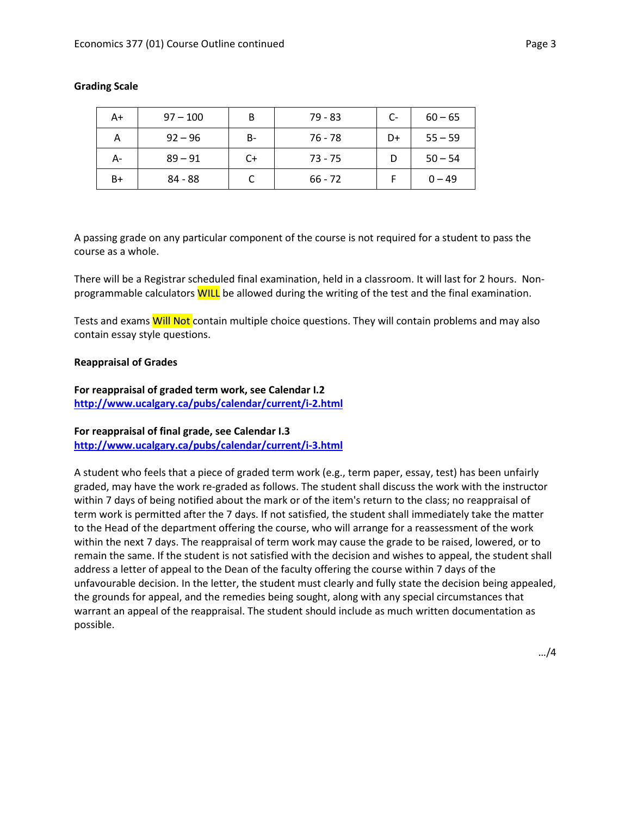| A+   | $97 - 100$ | В  | $79 - 83$ | $C-$ | $60 - 65$ |
|------|------------|----|-----------|------|-----------|
| А    | $92 - 96$  | B- | 76 - 78   | D+   | $55 - 59$ |
| А-   | $89 - 91$  | C+ | $73 - 75$ |      | $50 - 54$ |
| $B+$ | 84 - 88    |    | $66 - 72$ |      | $0 - 49$  |

#### **Grading Scale**

A passing grade on any particular component of the course is not required for a student to pass the course as a whole.

There will be a Registrar scheduled final examination, held in a classroom. It will last for 2 hours. Nonprogrammable calculators WILL be allowed during the writing of the test and the final examination.

Tests and exams Will Not contain multiple choice questions. They will contain problems and may also contain essay style questions.

#### **Reappraisal of Grades**

**For reappraisal of graded term work, see Calendar I.2 <http://www.ucalgary.ca/pubs/calendar/current/i-2.html>**

# **For reappraisal of final grade, see Calendar I.3 <http://www.ucalgary.ca/pubs/calendar/current/i-3.html>**

A student who feels that a piece of graded term work (e.g., term paper, essay, test) has been unfairly graded, may have the work re-graded as follows. The student shall discuss the work with the instructor within 7 days of being notified about the mark or of the item's return to the class; no reappraisal of term work is permitted after the 7 days. If not satisfied, the student shall immediately take the matter to the Head of the department offering the course, who will arrange for a reassessment of the work within the next 7 days. The reappraisal of term work may cause the grade to be raised, lowered, or to remain the same. If the student is not satisfied with the decision and wishes to appeal, the student shall address a letter of appeal to the Dean of the faculty offering the course within 7 days of the unfavourable decision. In the letter, the student must clearly and fully state the decision being appealed, the grounds for appeal, and the remedies being sought, along with any special circumstances that warrant an appeal of the reappraisal. The student should include as much written documentation as possible.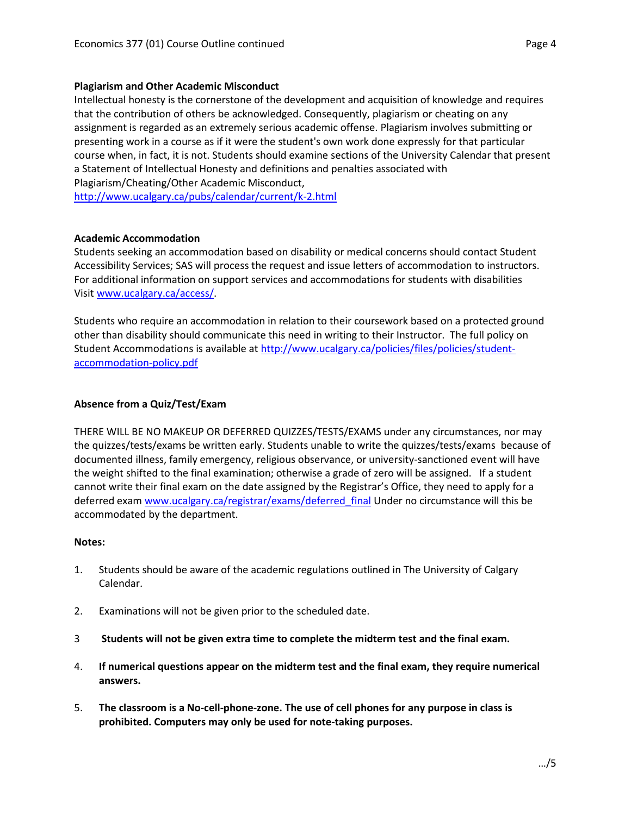Intellectual honesty is the cornerstone of the development and acquisition of knowledge and requires that the contribution of others be acknowledged. Consequently, plagiarism or cheating on any assignment is regarded as an extremely serious academic offense. Plagiarism involves submitting or presenting work in a course as if it were the student's own work done expressly for that particular course when, in fact, it is not. Students should examine sections of the University Calendar that present a Statement of Intellectual Honesty and definitions and penalties associated with Plagiarism/Cheating/Other Academic Misconduct,

<http://www.ucalgary.ca/pubs/calendar/current/k-2.html>

### **Academic Accommodation**

Students seeking an accommodation based on disability or medical concerns should contact Student Accessibility Services; SAS will process the request and issue letters of accommodation to instructors. For additional information on support services and accommodations for students with disabilities Visit [www.ucalgary.ca/access/.](http://www.ucalgary.ca/access/)

Students who require an accommodation in relation to their coursework based on a protected ground other than disability should communicate this need in writing to their Instructor. The full policy on Student Accommodations is available at [http://www.ucalgary.ca/policies/files/policies/student](http://www.ucalgary.ca/policies/files/policies/student-accommodation-policy.pdf)[accommodation-policy.pdf](http://www.ucalgary.ca/policies/files/policies/student-accommodation-policy.pdf)

# **Absence from a Quiz/Test/Exam**

THERE WILL BE NO MAKEUP OR DEFERRED QUIZZES/TESTS/EXAMS under any circumstances, nor may the quizzes/tests/exams be written early. Students unable to write the quizzes/tests/exams because of documented illness, family emergency, religious observance, or university-sanctioned event will have the weight shifted to the final examination; otherwise a grade of zero will be assigned. If a student cannot write their final exam on the date assigned by the Registrar's Office, they need to apply for a deferred exam [www.ucalgary.ca/registrar/exams/deferred\\_final](http://www.ucalgary.ca/registrar/exams/deferred_final) Under no circumstance will this be accommodated by the department.

### **Notes:**

- 1. Students should be aware of the academic regulations outlined in The University of Calgary Calendar.
- 2. Examinations will not be given prior to the scheduled date.
- 3 **Students will not be given extra time to complete the midterm test and the final exam.**
- 4. **If numerical questions appear on the midterm test and the final exam, they require numerical answers.**
- 5. **The classroom is a No-cell-phone-zone. The use of cell phones for any purpose in class is prohibited. Computers may only be used for note-taking purposes.**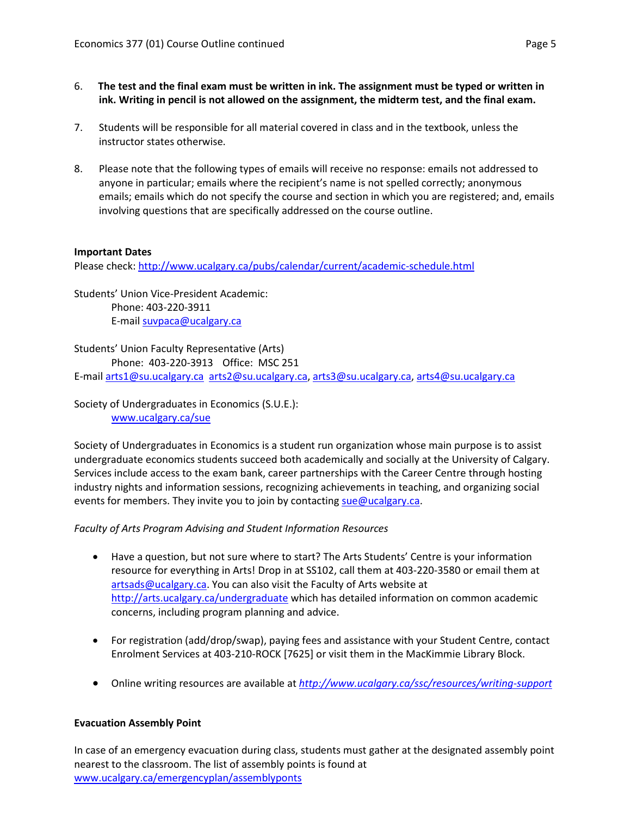- 6. **The test and the final exam must be written in ink. The assignment must be typed or written in ink. Writing in pencil is not allowed on the assignment, the midterm test, and the final exam.**
- 7. Students will be responsible for all material covered in class and in the textbook, unless the instructor states otherwise.
- 8. Please note that the following types of emails will receive no response: emails not addressed to anyone in particular; emails where the recipient's name is not spelled correctly; anonymous emails; emails which do not specify the course and section in which you are registered; and, emails involving questions that are specifically addressed on the course outline.

# **Important Dates**

Please check:<http://www.ucalgary.ca/pubs/calendar/current/academic-schedule.html>

Students' Union Vice-President Academic: Phone: 403-220-3911 E-mail [suvpaca@ucalgary.ca](mailto:subpaca@ucalgary.ca)

Students' Union Faculty Representative (Arts) Phone: 403-220-3913 Office: MSC 251 E-mail [arts1@su.ucalgary.ca](mailto:arts1@su.ucalgary.ca) [arts2@su.ucalgary.ca,](mailto:arts2@su.ucalgary.ca) [arts3@su.ucalgary.ca,](mailto:arts3@su.ucalgary.ca) [arts4@su.ucalgary.ca](mailto:arts4@su.ucalgary.ca)

Society of Undergraduates in Economics (S.U.E.): [www.ucalgary.ca/sue](http://www.fp.ucalgary.ca/econ)

Society of Undergraduates in Economics is a student run organization whose main purpose is to assist undergraduate economics students succeed both academically and socially at the University of Calgary. Services include access to the exam bank, career partnerships with the Career Centre through hosting industry nights and information sessions, recognizing achievements in teaching, and organizing social events for members. They invite you to join by contacting [sue@ucalgary.ca.](mailto:sue@ucalgary.ca)

### *Faculty of Arts Program Advising and Student Information Resources*

- Have a question, but not sure where to start? The Arts Students' Centre is your information resource for everything in Arts! Drop in at SS102, call them at 403-220-3580 or email them at [artsads@ucalgary.ca.](mailto:artsads@ucalgary.ca) You can also visit the Faculty of Arts website at <http://arts.ucalgary.ca/undergraduate> which has detailed information on common academic concerns, including program planning and advice.
- For registration (add/drop/swap), paying fees and assistance with your Student Centre, contact Enrolment Services at 403-210-ROCK [7625] or visit them in the MacKimmie Library Block.
- Online writing resources are available at *<http://www.ucalgary.ca/ssc/resources/writing-support>*

### **Evacuation Assembly Point**

In case of an emergency evacuation during class, students must gather at the designated assembly point nearest to the classroom. The list of assembly points is found at [www.ucalgary.ca/emergencyplan/assemblyponts](http://www.ucalgary.ca/emergencyplan/assemblyponts)